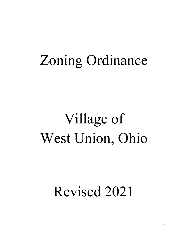# Zoning Ordinance

# Village of West Union, Ohio

# Revised 2021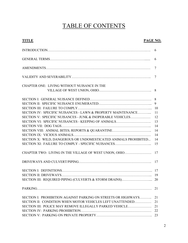### TABLE OF CONTENTS

#### TITLE PAGE NO.

|                                                                 | 6  |
|-----------------------------------------------------------------|----|
|                                                                 | 6  |
|                                                                 | 7  |
|                                                                 | 7  |
| CHAPTER ONE: LIVING WITHOUT NUISANCE IN THE                     |    |
|                                                                 |    |
|                                                                 |    |
|                                                                 |    |
|                                                                 |    |
| SECTION IV: SPECIFIC NUISANCES - LAWN & PROPERTY MAINTENANCE    | 11 |
| SECTION V: SPECIFIC NUISANCES - JUNK & INOPERABLE VEHICLES      | 12 |
| SECTION VI: SPECIFIC NUISANCES - KEEPING OF ANIMALS             | 13 |
|                                                                 | 14 |
|                                                                 | 14 |
|                                                                 | 14 |
| SECTION X: WILD, DANGEROUS OR UNDOMESTICATED ANIMALS PROHIBITED | 14 |
|                                                                 | 15 |
| CHAPTER TWO: LIVING IN THE VILLAGE OF WEST UNION, OHIO          | 17 |
|                                                                 | 17 |
|                                                                 |    |
|                                                                 |    |
|                                                                 |    |
|                                                                 |    |
| SECTION I: PROHIBITION AGAINST PARKING ON STREETS OR HIGHWAYS   | 21 |
| SECTION II: CONDITION WHEN MOTOR VEHICLES LEFT UNATTENDED       | 21 |
| SECTION III: POLICE MAY REMOVE ILLEGALLY PARKED VEHICLE         | 21 |
|                                                                 | 22 |
|                                                                 |    |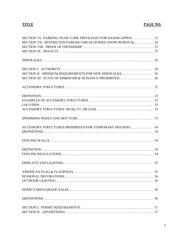#### TITLE PAGE NO.

| SECTION VI: PARKING NEAR CURB; PRIVILEGES FOR HANDICAPPED 23 |  |
|--------------------------------------------------------------|--|
| SECTION VII: RESTRICTED PARKING AREAS DURING SNOW REMOVAL 24 |  |
|                                                              |  |
|                                                              |  |
|                                                              |  |
|                                                              |  |
|                                                              |  |
|                                                              |  |
|                                                              |  |
|                                                              |  |
|                                                              |  |
|                                                              |  |
|                                                              |  |
|                                                              |  |
|                                                              |  |
|                                                              |  |
|                                                              |  |
|                                                              |  |
|                                                              |  |
|                                                              |  |
|                                                              |  |
|                                                              |  |
|                                                              |  |
|                                                              |  |
|                                                              |  |
|                                                              |  |
|                                                              |  |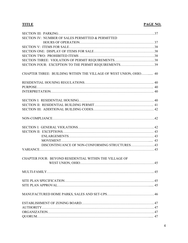#### TITLE PAGE NO.

| SECTION IV: NUMBER OF SALES PERMITTED & PERMITTED                 |
|-------------------------------------------------------------------|
|                                                                   |
|                                                                   |
|                                                                   |
|                                                                   |
|                                                                   |
| SECTION FOUR: EXCEPTION TO THE PERMIT REQUIREMENTS39              |
| CHAPTER THREE: BUILDING WITHIN THE VILLAGE OF WEST UNION, OHIO 40 |
|                                                                   |
|                                                                   |
|                                                                   |
|                                                                   |
|                                                                   |
|                                                                   |
|                                                                   |
|                                                                   |
|                                                                   |
|                                                                   |
|                                                                   |
|                                                                   |
|                                                                   |
| CHAPTER FOUR: BEYOND RESIDENTIAL WITHIN THE VILLAGE OF            |
|                                                                   |
|                                                                   |
|                                                                   |
|                                                                   |
|                                                                   |
|                                                                   |
|                                                                   |
|                                                                   |
|                                                                   |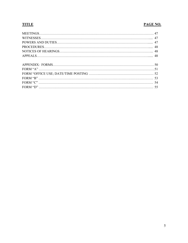#### **TITLE**

#### PAGE NO.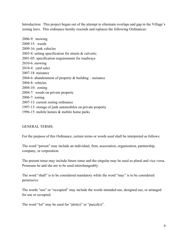Introduction: This project began out of the attempt to eliminate overlaps and gap in the Village's zoning laws. This ordinance hereby rescinds and replaces the following Ordinances:

2006-9: mowing 2009-15: weeds 2009-16: junk vehicles 2003-4: setting specification for streets & culverts; 2001-05: specification requirements for roadways 2010-6: mowing 2010-4: yard sales 2007-18: nuisance 2004-6: abandonment of property  $&$  building – nuisance 2004-8: vehicles 2004-10: zoning 2004-7: weeds on private property 2006-7: zoning 2007-13: current zoning ordinance 1997-13: storage of junk automobiles on private property 1996-15: mobile homes & mobile home parks

#### GENERAL TERMS:

For the purpose of this Ordinance, certain terms or words used shall be interpreted as follows:

The word "person" may include an individual, firm, association, organization, partnership, company, or corporation.

The present tense may include future tense and the singular may be used as plural and vice versa. Pronouns he and she are to be used interchangeably.

The word "shall" is to be considered mandatory while the word "may" is to be considered permissive.

The words "use" or "occupied" may include the words intended use, designed use, or arranged for use or occupied.

The word "lot" may be used for "plot(s)" or "parcel(s)".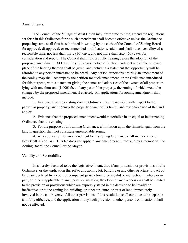#### Amendments:

The Council of the Village of West Union may, from time to time, amend the regulations set forth in this Ordinance for no such amendment shall become effective unless the Ordinance proposing same shall first be submitted in writing by the clerk of the Council of Zoning Board for approval, disapproval, or recommended modifications, said board shall have been allowed a reasonable time, not less than thirty (30) days, and not more than sixty (60) days, for consideration and report. The Council shall hold a public hearing before the adoption of the proposed amendment. At least thirty (30) days' notice of such amendment and of the time and place of the hearing thereon shall be given, and including a statement that opportunity will be afforded to any person interested to be heard. Any person or persons desiring an amendment of the zoning map shall accompany the petition for such amendment, or the Ordinance introduced for this purpose, with a statement giving the names and addresses of the owners of all properties lying with one thousand (1,000) feet of any part of the property, the zoning of which would be changed by the proposed amendment if enacted. All applications for zoning amendment shall include:

 1. Evidence that the existing Zoning Ordinance is unreasonable with respect to the particular property, and it denies the property owner of his lawful and reasonable use of the land and/or;

 2. Evidence that the proposed amendment would materialize in an equal or better zoning Ordinance than the existing;

 3. For the purpose of this zoning Ordinance, a limitation upon the financial gain from the land in question shall not constitute unreasonable zoning;

 4. Any application for an amendment to this zoning Ordinance shall include a fee of Fifty (\$50.00) dollars. This fee does not apply to any amendment introduced by a member of the Zoning Board, the Council or the Mayor;

#### Validity and Severability:

It is hereby declared to be the legislative intent, that, if any provision or provisions of this Ordinance, or the application thereof to any zoning lot, building or any other structure to tract of land, are declared by a court of competent jurisdiction to be invalid or ineffective in whole or in part, or to be inapplicable to any person or situation, the effect of such a decision shall be limited to the provision or provisions which are expressly stated in the decision to be invalid or ineffective, or to the zoning lot, building, or other structure, or tract of land immediately involved in the controversy. All other provisions of this resolution shall continue to be separate and fully effective, and the application of any such provision to other persons or situations shall not be affected.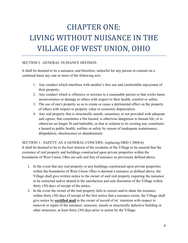## CHAPTER ONE: LIVING WITHOUT NUISANCE IN THE VILLAGE OF WEST UNION, OHIO

#### SECTION I: GENERAL NUISANCE DEFINED:

It shall be deemed to be a nuisance, and therefore, unlawful for any person to commit on a continual basis any one or more of the following acts:

- 1. Any conduct which interferes with another's free use and comfortable enjoyment of their property;
- 2. Any conduct which is offensive or noxious to a reasonable person or that works harm, inconvenience or damage to others with respect to their health, comfort or safety;
- 3. The use of one's property so as to create or cause a detrimental effect on the property of others with respect to property value or economic depreciation.
- 4. Any real property that is structurally unsafe, unsanitary or not provided with adequate safe egress; that constitutes a fire hazard, is otherwise dangerous to human life, or is otherwise no longer fit and habitable; or that in relation to its existing use, constitutes a hazard to public health, welfare or safety by reason of inadequate maintenance, dilapidation, obsolescence or abandonment:

#### SECTION 1: SAFETY AS A GENERAL CONCERN: (replacing ORD # 2004-6)

It shall be deemed to be in the best interest of the residents of the Village to be assured that the existence of real property and buildings constructed upon private properties within the boundaries of West Union, Ohio are safe and free of nuisance as previously defined above.

- 1. In the event that any real property or any buildings constructed upon private properties within the boundaries of West Union, Ohio is deemed a nuisance as defined above, the Village shall give written notice to the owner of said real property requiring the nuisance to be corrected and/or abated to the satisfaction and sole discretion of the Village within thirty (30) days of receipt of the notice.
- 2. In the event the owner of the real property fails to correct and/or abate the nuisance within thirty (30) days of receipt of the first notice that a nuisance exists, the Village shall give notice by **certified mail** to the owner of record of its' intention with respect to removal or repair of the nuisance; unsecure, unsafe or structurally defective building or other structures, at least thirty (30) days prior to action by the Village.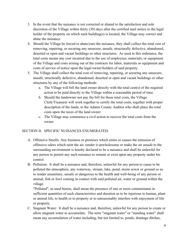- 3. In the event that the nuisance is not corrected or abated to the satisfaction and sole discretion of the Village within thirty (30) days after the certified mail notice to the legal holder of the property on which such building(s) is located, the Village may correct and abate the nuisance.
- 4. Should the Village be forced to abate/cure the nuisance, they shall collect the total cost of removing, repairing, or securing any unsecure, unsafe, structurally defective, abandoned, deserted or open and vacant buildings or other structures. As used in this ordinance, the total costs means any cost incurred due to the use of employees, materials, or equipment of the Village and costs arising out of the contracts for labor, materials or equipment and costs of service of notice upon the legal owner/holders of said property.
- 5. The Village shall collect the total cost of removing, repairing, or securing any unsecure, unsafe, structurally defective, abandoned, deserted or open and vacant buildings or other structures by any of the following methods:
	- a. The Village will bill the land owner directly with the total cost(s) of the required action to be paid directly to the Village within a reasonable period of time.
	- b. Should the landowner not pay the bill for these total costs, the Village Clerk/Treasurer will work together to certify the total costs, together with proper description of the lands, to the Adams County Auditor who shall place the total costs upon the taxes of the land owner.
	- c. The Village may commence a civil action to recover the total costs from the owner.

#### SECTION II. SPECIFIC NUISANCES ENUMERATED:

- A. Offensive Smells: Any business or premises which emits or causes the emission of offensive odors which taint the air, render it unwholesome or make the air unsafe to the surrounding environment is hereby declared to be a nuisance and shall be unlawful for any person to permit any such nuisance to remain or exist upon any property under his control.
- B. Pollution: It shall be a nuisance and, therefore, unlawful for any person to cause to be polluted the atmosphere, any waterway, stream, lake, pond, storm sewer or ground so as to render unsanitary, unsafe or dangerous to the health and well-being of any person or animal, fish or fowl coming in contact with said polluted air, water or ground within the village.

"Polluted", as used herein, shall mean the presence of one or more contaminants in sufficient quantities of such characteristics and duration as to be injurious to human, plant or animal life, to health or to property or to unreasonably interfere with enjoyment of life or property.

C. Stagnant Water: It shall be a nuisance and, therefore, unlawful for any person to create or allow stagnant water to accumulate. The term "stagnant water" or "standing water" shall mean any accumulation of water including, but not limited to, ponds, drainage ditches,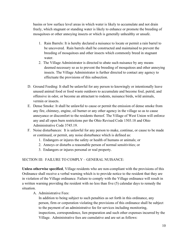basins or low surface level areas in which water is likely to accumulate and not drain freely, which stagnant or standing water is likely to enhance or promote the breeding of mosquitoes or other annoying insects or which is generally unhealthy or unsafe.

- 1. Rain Barrels: It is hereby declared a nuisance to locate or permit a rain barrel to be uncovered. Rain barrels shall be constructed and maintained to prevent the breeding of mosquitoes and other insects which commonly breed in stagnant water.
- 2. The Village Administrator is directed to abate such nuisance by any means deemed necessary so as to prevent the breeding of mosquitoes and other annoying insects. The Village Administrator is further directed to contact any agency to effectuate the provisions of this subsection.
- D. Ground Feeding: It shall be unlawful for any person to knowingly or intentionally leave unused animal food or food waste outdoors to accumulate and become foul, putrid, and offensive in odor, or become an attractant to rodents, nuisance birds, wild animals, vermin or insects.
- E. Dense Smoke: It shall be unlawful to cause or permit the emission of dense smoke from any fire, chimney, engine, oil burner or any other agency in the village so as to cause annoyance or discomfort to the residents thereof. The Village of West Union will enforce any and all open burn restrictions per the Ohio Revised Code 1503.18 and Ohio Administrative Code 3745.19.
- F. Noise disturbances: It is unlawful for any person to make, continue, or cause to be made or continued, or permit, any noise disturbance which is defined as:
	- 1. Endangers or injures the safety or health of humans or animals; or
	- 2. Annoys or disturbs a reasonable person of normal sensitivities; or
	- 3. Endangers or injures personal or real property.

#### SECTION III: FAILURE TO COMPLY – GENERAL NUISANCE:

Unless otherwise specified, Village residents who are non-compliant with the provisions of this Ordinance shall receive a verbal warning which is to provide notice to the resident that they are in violation of the Village ordinance. Failure to comply with the Village ordinance will result in a written warning providing the resident with no less than five (5) calendar days to remedy the situation.

#### A. Administrative Fees:

In addition to being subject to such penalties as set forth in this ordinance, any person, firm or corporation violating the provisions of this ordinance shall be subject to the payment of an administrative fee for services including monitoring, inspections, correspondence, lien preparation and such other expenses incurred by the Village. Administrative fees are cumulative and are set as follows: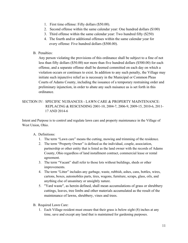- 1. First time offense: Fifty dollars (\$50.00).
- 2. Second offense within the same calendar year: One hundred dollars (\$100)
- 3. Third offense within the same calendar year: Two hundred fifty (\$250)
- 4. The fourth and/or additional offenses within the same calendar year for every offense: Five hundred dollars (\$500.00).
- B. Penalties:

Any person violating the provisions of this ordinance shall be subject to a fine of not less than fifty dollars (\$50.00) nor more than five hundred dollars (\$500.00) for each offense, and a separate offense shall be deemed committed on each day on which a violation occurs or continues to exist. In addition to any such penalty, the Village may initiate such injunctive relief as is necessary in the Municipal or Common Pleas Courts of Adams County, including the issuance of a temporary restraining order and preliminary injunction, in order to abate any such nuisance as is set forth in this ordinance.

#### SECTION IV: SPECIFIC NUISANCES - LAWN CARE & PROPERTY MAINTENANCE: REPLACING & RESCENDING 2001-10, 2004-7, 2006-9, 2009-15, 2010-6, 2011- 17 AND 2014-6

Intent and Purpose is to control and regulate lawn care and property maintenance in the Village of West Union, Ohio.

#### A. Definitions:

- 1. The term "Lawn care" means the cutting, mowing and trimming of the residence.
- 2. The term "Property Owner" is defined as the individual, couple, association, partnership or other entity that is listed as the land owner with the records of Adams County, Ohio regardless of land installment contract, commercial lease or rental agreement.
- 3. The term "Vacant" shall refer to those lots without buildings, sheds or other improvements.
- 4. The term "Litter" includes any garbage, waste, rubbish, ashes, cans, bottles, wires, cartons, boxes, automobiles parts, tires, wagons, furniture, scraps, glass, oils, and anything else of unsanitary or unsightly nature.
- 5. "Yard waste", as herein defined, shall mean accumulations of grass or shrubbery cuttings, leaves, tree limbs and other materials accumulated as the result of the maintenance of lawns, shrubbery, vines and trees.
- B. Required Lawn Care:
	- 1. Each Village resident must ensure that their grass is below eight (8) inches at any time, save and except any land that is maintained for gardening purposes.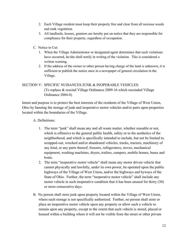- 2. Each Village resident must keep their property free and clear from all noxious weeds and rank vegetation.
- 3. All landlords, lessors, grantors are hereby put on notice that they are responsible for compliance for their property, regardless of occupation.
- C. Notice to Cut:
	- 1. When the Village Administrator or designated agent determines that such violations have occurred, he/she shall notify in writing of the violation. This is considered a written warning.
	- 2. If the address of the owner or other person having charge of the land is unknown, it is sufficient to publish the notice once in a newspaper of general circulation in the Village.

#### SECTION V: SPECIFIC NUISANCES JUNK & INOPERABLE VEHICLES: (To replace & rescind Village Ordinance 2009-16 which rescinded Village Ordinance 2004-8)

Intent and purpose is to protect the best interests of the residents of the Village of West Union, Ohio by banning the storage of junk and inoperative motor vehicles and/or parts upon properties located within the boundaries of the Village.

- A. Definitions:
	- 1. The term "junk" shall mean any and all waste matter, whether reusable or not, which is offensive to the general public health, safety or to the aesthetics of the neighborhood, and which is specifically intended to include, but not be limited to, scrapped-out, wrecked and/or abandoned vehicles, trucks, tractors, machinery of any kind, or any parts thereof; freezers, refrigerators, stoves, mechanical equipment, washing machines, dryers, trailers, campers, mobile homes, buses and boats.
	- 2. The term "inoperative motor vehicle" shall mean any motor driven vehicle that cannot physically and lawfully, under its own power, be operated upon the public highways of the Village of West Union, and/or the highways and byways of the State of Ohio. Further, the term "inoperative motor vehicle" shall include any motor vehicle in such inoperative condition that it has been unused for thirty (30) or more consecutive days.
- B. No person shall store junk upon property located within the Village of West Union, where such storage is not specifically authorized. Further, no person shall store or place an inoperative motor vehicle upon any property or allow such a vehicle to remain upon any property, except to the extent that such vehicle is stored, placed or housed within a building where it will not be visible from the street or other private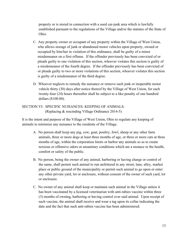property or is stored in connection with a used car-junk area which is lawfully established pursuant to the regulations of the Village and/or the statutes of the State of Ohio.

- C. Any property owner or occupant of any property within the Village of West Union, who allows storage of junk or abandoned motor vehicles upon property, owned or occupied by him/her in violation of this ordinance, shall be guilty of a minor misdemeanor on a first offense. If the offender previously has been convicted of or pleads guilty to one violation of this section, whoever violates this section is guilty of a misdemeanor of the fourth degree. If the offender previously has been convicted of or pleads guilty to two or more violations of this section, whoever violates this section is guilty of a misdemeanor of the third degree.
- D. Whoever neglects to remedy the nuisance or remove such junk or inoperable motor vehicle thirty (30) days after notice thereof by the Village of West Union, for each twenty-four (24) hours thereafter shall be subject to a like penalty of one hundred dollars (\$100.00).

#### SECTION VI: SPECIFIC NUISANCES: KEEPING OF ANIMALS: (Replacing & rescinding Village Ordinance 2014-5)

It is the intent and purpose of the Village of West Union, Ohio to regulate any keeping of animals to minimize any nuisance to the residents of the Village.

- A. No person shall keep any pig, cow, goat, poultry, fowl, sheep or any other farm animals, three or more dogs at least three months of age, or three or more cats at three months of age, within the corporation limits or harbor any animals so as to create noxious or offensive odors or unsanitary conditions which are a menace to the health, comfort or safety of the public.
- B. No person, being the owner of any animal, harboring or having charge or control of the same, shall permit such animal to run unfettered in any street, lane, alley, market place or public ground of the municipality or permit such animal to go upon or enter any other private yard, lot or enclosure, without consent of the owner of such yard, lot or enclosure.
- C. No owner of any animal shall keep or maintain such animal in the Village unless it has been vaccinated by a licensed veterinarian with anti-rabies vaccine within three (3) months of owning, harboring or having control over said animal. Upon receipt of such vaccine, the animal shall receive and wear a tag upon its collar indicating the date and the fact that such anti-rabies vaccine has been administered.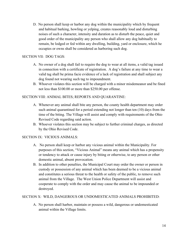D. No person shall keep or harbor any dog within the municipality which by frequent and habitual barking, howling or yelping, creates reasonably loud and disturbing noises of such a character, intensity and duration as to disturb the peace, quiet and good order of the municipality any person who shall allow any dog habitually to remain, be lodged or fed within any dwelling, building, yard or enclosure, which he occupies or owns shall be considered as harboring such dog.

#### SECTION VII: DOG TAGS:

- A. No owner of a dog shall fail to require the dog to wear at all items, a valid tag issued in connection with a certificate of registration. A dog's failure at any time to wear a valid tag shall be prima facie evidence of a lack of registration and shall subject any dog found not wearing such tag to impoundment.
- B. Whoever violates this section will be charged with a minor misdemeanor and be fined not less than \$100.00 or more than \$250.00 per offense.

#### SECTION VIII: ANIMAL BITES; REPORTS AND QUARANTINE:

- A. Whenever any animal shall bite any person, the county health department may order such animal quarantined for a period extending not longer than ten (10) days from the time of the biting. The Village will assist and comply with requirements of the Ohio Revised Code regarding said action.
- B. Whoever violates this section may be subject to further criminal charges, as directed by the Ohio Revised Code.

#### SECTION IX: VICIOUS ANIMALS:

- A. No person shall keep or harbor any vicious animal within the Municipality. For purposes of this section, "Vicious Animal" means any animal which has a propensity or tendency to attack or cause injury by biting or otherwise, to any person or other domestic animal, absent provocation.
- B. In addition to other penalties, the Municipal Court may order the owner or person in custody or possession of any animal which has been deemed to be a vicious animal and constitutes a serious threat to the health or safety of the public, to remove such animal from the Village. The West Union Police Department will assist and cooperate to comply with the order and may cause the animal to be impounded or destroyed.

#### SECTION X: WILD, DANGEROUS OR UNDOMESTICATED ANIMALS PROHIBITED:

 A. No person shall harbor, maintain or possess a wild, dangerous or undomesticated animal within the Village limits.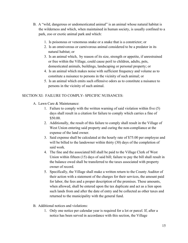- B. A "wild, dangerous or undomesticated animal" is an animal whose natural habitat is the wilderness and which, when maintained in human society, is usually confined to a park, zoo or exotic animal park and which:
	- 1. Is poisonous or venomous snake or a snake that is a constrictor; or
	- 2. Is an omnivorous or carnivorous animal considered to be a predator in its natural habitat; or
	- 3. Is an animal which, by reason of its size, strength or appetite, if unrestrained or free within the Village, could cause peril to children, adults, pets, domesticated animals, buildings, landscaping or personal property; or
	- 4. Is an animal which makes noise with sufficient frequency and volume as to constitute a nuisance to persons in the vicinity of such animal; or
	- 5. Is an animal which emits such offensive odors as to constitute a nuisance to persons in the vicinity of such animal.

#### SECTION XI: FAILURE TO COMPLY- SPECIFIC NUISANCES:

- A. Lawn Care & Maintenance:
	- 1. Failure to comply with the written warning of said violation within five (5) days shall result in a citation for failure to comply which carries a fine of \$50.00.
	- 2. Additionally, the result of this failure to comply shall result in the Village of West Union entering said property and curing the non-compliance at the expense of the land owner.
	- 3. Said expense shall be calculated at the hourly rate of \$75.00 per employee and will be billed to the landowner within thirty (30) days of the completion of said work.
	- 4. The fine and the associated bill shall be paid to the Village Clerk of West Union within fifteen (15) days of said bill; failure to pay the bill shall result in the balance owed shall be transferred to the taxes associated with property owner of record.
	- 5. Specifically, the Village shall make a written return to the County Auditor of their action with a statement of the charges for their services, the amount paid for labor, the fees and a proper description of the premises. These amounts, when allowed, shall be entered upon the tax duplicate and act as a lien upon such lands from and after the date of entry and be collected as other taxes and returned to the municipality with the general fund.
- B. Additional notices and violations:
	- 1. Only one notice per calendar year is required for a lot or parcel. If, after a notice has been served in accordance with this section, the Village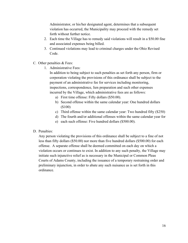Administrator, or his/her designated agent, determines that a subsequent violation has occurred, the Municipality may proceed with the remedy set forth without further notice.

- 2. Each time the Village has to remedy said violations will result in a \$50.00 fine and associated expenses being billed.
- 3. Continued violations may lead to criminal charges under the Ohio Revised Code.
- C. Other penalties & Fees:
	- 1. Administrative Fees:

In addition to being subject to such penalties as set forth any person, firm or corporation violating the provisions of this ordinance shall be subject to the payment of an administrative fee for services including monitoring, inspections, correspondence, lien preparation and such other expenses incurred by the Village, which administrative fees are as follows:

- a) First time offense: Fifty dollars (\$50.00).
- b) Second offense within the same calendar year: One hundred dollars (\$100)
- c) Third offense within the same calendar year: Two hundred fifty (\$250)
- d) The fourth and/or additional offenses within the same calendar year for
- e) each such offense: Five hundred dollars (\$500.00).

#### D. Penalties:

Any person violating the provisions of this ordinance shall be subject to a fine of not less than fifty dollars (\$50.00) nor more than five hundred dollars (\$500.00) for each offense. A separate offense shall be deemed committed on each day on which a violation occurs or continues to exist. In addition to any such penalty, the Village may initiate such injunctive relief as is necessary in the Municipal or Common Pleas Courts of Adams County, including the issuance of a temporary restraining order and preliminary injunction, in order to abate any such nuisance as is set forth in this ordinance.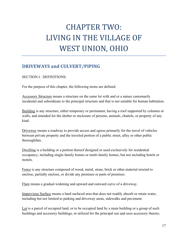### CHAPTER TWO: LIVING IN THE VILLAGE OF WEST UNION, OHIO

#### DRIVEWAYS and CULVERT/PIPING

SECTION I: DEFINITIONS:

For the purpose of this chapter, the following terms are defined:

Accessory Structure means a structure on the same lot with and or a nature customarily incidental and subordinate to the principal structure and that is not suitable for human habitation.

Building is any structure, either temporary or permanent, having a roof supported by columns or walls, and intended for the shelter or enclosure of persons, animals, chattels, or property of any kind.

Driveway means a roadway to provide access and egress primarily for the travel of vehicles between private property and the traveled portion of a public street, alley or other public thoroughfare.

Dwelling is a building or a portion thereof designed or used exclusively for residential occupancy, including single-family homes or multi-family homes, but not including hotels or motels.

Fence is any structure composed of wood, metal, stone, brick or other material erected to enclose, partially enclose, or divide any premises or parts of premises.

Flare means a gradual widening and upward and outward curve of a driveway.

Impervious Surface means a hard surfaced area that does not readily absorb or retain water, including but not limited to parking and driveway areas, sidewalks and pavement.

Lot is a parcel of occupied land, or to be occupied land by a main building or a group of such buildings and accessory buildings, or utilized for the principal use and uses accessory thereto,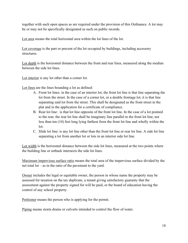together with such open spaces as are required under the provision of this Ordinance. A lot may be or may not be specifically designated as such on public records.

Lot area means the total horizontal area within the lot lines of the lot.

Lot coverage is the part or percent of the lot occupied by buildings, including accessory structures.

Lot depth is the horizontal distance between the front and rear lines, measured along the median between the side lot lines.

Lot interior is any lot other than a corner lot.

Lot lines are the lines bounding a lot as defined:

- A. Front lot lines: in the case of an interior lot, the front lot line is that line separating the lot from the street. In the case of a corner lot, or a double frontage lot, it is that line separating said lot from the street. This shall be designated as the front street in the plat and in the application for a certificate of compliance.
- B. Rear lot line: is that lot line opposite of the front lot line. In the case of a lot pointed to the rear, the rear lot line shall be imaginary line parallel to the front lot line, not less than ten (10) feet long lying farthest from the front lot line and wholly within the lot.
- C. Slide lot line: is any lot line other than the front lot line or rear lot line. A side lot line separating a lot from another lot or lots in an interior side lot line.

Lot width is the horizontal distance between the side lot lines, measured at the two points where the building line or setback intersects the side lot lines.

Maximum impervious surface ratio means the total area of the impervious surface divided by the net total lot – as in the ratio of the pavement to the yard.

Owner includes the legal or equitable owner, the person in whose name the property may be assessed for taxation on the tax duplicate, a tenant giving satisfactory guaranty that the assessment against the property signed for will be paid, or the board of education having the control of any school property.

Petitioner means the person who is applying for the permit.

Piping means storm drains or culverts intended to control the flow of water.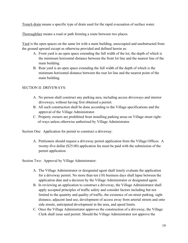Trench drain means a specific type of drain used for the rapid evacuation of surface water.

Thoroughfare means a road or path forming a route between two places.

Yard is the open spaces on the same lot with a main building, unoccupied and unobstructed from the ground upward except as otherwise provided and defined herein as:

- A. Front yard is an open space extending the full width of the lot, the depth of which is the minimum horizontal distance between the front lot line and the nearest line of the main building.
- B. Rear yard is an open space extending the full width of the depth of which is the minimum horizontal distance between the rear lot line and the nearest point of the main building.

#### SECTION II: DRIVEWAYS:

- A. No person shall construct any parking area, including access driveways and interior driveways, without having first obtained a permit.
- B. All such construction shall be done according to the Village specifications and the approval of the Village Administrator.
- C. Property owners are prohibited from installing parking areas on Village street right of-ways unless otherwise authorized by Village Administrator.

Section One: Application for permit to construct a driveway:

 A. Petitioners should request a driveway permit application from the Village Offices. A twenty-five dollar (\$25.00) application fee must be paid with the submission of the permit application.

Section Two: Approval by Village Administrator:

- A. The Village Administrator or designated agent shall timely evaluate the application for a driveway permit. No more than ten (10) business days shall lapse between the application date and a decision by the Village Administrator or designated agent.
- B. In reviewing an application to construct a driveway, the Village Administrator shall apply accepted principles of traffic safety and consider factors including but not limited to the quantity and quality of traffic, the existence of on-street parking, sight distance, adjacent land use, development of access away from arterial streets and onto side streets, anticipated development in the area, and speed limits.
- C. Once the Village Administrator approves the construction of a driveway, the Village Clerk shall issue said permit. Should the Village Administrator not approve the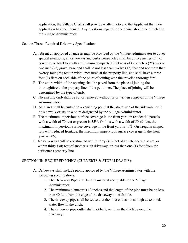application, the Village Clerk shall provide written notice to the Applicant that their application has been denied. Any questions regarding the denial should be directed to the Village Administrator.

Section Three: Required Driveway Specification:

- A. Absent an approved change as may be provided by the Village Administrator to cover special situations, all driveways and curbs constructed shall be of five inches (5") of concrete, or blacktop with a minimum compacted thickness of two inches (2") over a two inch (2") gravel base and shall be not less than twelve (12) feet and not more than twenty-four (24) feet in width, measured at the property line, and shall have a three foot (3) flare on each side of the point of joining with the traveled thoroughfare.
- B. The entire width of the opening shall be paved from the place of joining the thoroughfare to the property line of the petitioner. The place of joining will be determined by the type of curb.
- C. No existing curb shall be cut or removed without prior written approval of the Village Administrator.
- D. All flares shall be curbed to a vanishing point at the street side of the sidewalk, or if no sidewalk exists, to a point designated by the Village Administrator.
- E. The maximum impervious surface coverage in the front yard on residential parcels with a width of 70 feet or greater is 35%. On lots with a width of 50-69 feet, the maximum impervious surface coverage in the front yard is 40%. On irregular shaped lots with reduced frontage, the maximum impervious surface coverage in the front yard is 50%.
- F. No driveway shall be constructed within forty (40) feet of an intersecting street, or within thirty (30) feet of another such driveway, or less than one (1) foot from the petitioner's property line.

#### SECTION III: REQUIRED PIPING (CULVERTS & STORM DRAINS):

- A. Driveways shall include piping approved by the Village Administrator with the following specifications:
	- 1. The Driveway Pipe shall be of a material acceptable to the Village Administrator.
	- 2. The minimum diameter is 12 inches and the length of the pipe must be no less than 40 foot from the edge of the driveway on each side.
	- 3. The driveway pipe shall be set so that the inlet end is not so high as to block water flow in the ditch.
	- 4. The driveway pipe outlet shall not be lower than the ditch beyond the driveway.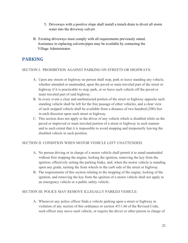- 5. Driveways with a positive slope shall install a trench drain to divert all storm water into the driveway culvert.
- B. Existing driveways must comply with all requirements previously stated. Assistance in replacing culverts/pipes may be available by contacting the Village Administrator.

#### PARKING

#### SECTION I: PROHIBITION AGAINST PARKING ON STREETS OR HIGHWAYS:

- A. Upon any streets or highway no person shall stop, park or leave standing any vehicle, whether attended or unattended, upon the paved or main traveled part of the street or highway if it is practicable to stop, park, or so leave such vehicle off the paved or main traveled part of said highway.
- B. In every event a clear and unobstructed portion of the street or highway opposite such standing vehicle shall be left for the free passage of other vehicles, and a clear view of such stopped vehicle shall be available from a distance of two hundred (200) feet in each direction upon such street or highway.
- C. This section does not apply to the driver of any vehicle which is disabled while on the paved or improved or main traveled portion of a street or highway in such manner and to such extent that it is impossible to avoid stopping and temporarily leaving the disabled vehicle in such position.

#### SECTION II: CONDITION WHEN MOTOR VEHICLE LEFT UNATTENDED:

- A. No person driving or in charge of a motor vehicle shall permit it to stand unattended without first stopping the engine, locking the ignition, removing the key from the ignition; effectively setting the parking brake, and, when the motor vehicle is standing upon any grade, turning the front wheels to the curb side of the street or highway.
- B. The requirements of this section relating to the stopping of the engine, locking of the ignition, and removing the key from the ignition of a motor vehicle shall not apply to an emergency vehicle or a public safety vehicle.

#### SECTION III: POLICE MAY REMOVE ILLEGALLY PARKED VEHICLE:

 A. Whenever any police officer finds a vehicle parking upon a street or highway in violation of any section of this ordinance or section 4511.66 of the Revised Code, such officer may move such vehicle, or require the driver or other person in charge of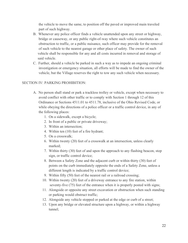the vehicle to move the same, to position off the paved or improved main traveled part of such highway.

- B. Whenever any police officer finds a vehicle unattended upon any street or highway, bridge or causeway, or any public right-of-way where such vehicle constitutes an obstruction to traffic, or a public nuisance, such officer may provide for the removal of such vehicle to the nearest garage or other place of safety. The owner of such vehicle shall be responsible for any and all costs incurred in removal and storage of said vehicle.
- C. Further, should a vehicle be parked in such a way as to impede an ongoing criminal investigation or emergency situation, all efforts will be made to find the owner of the vehicle, but the Village reserves the right to tow any such vehicle when necessary.

#### SECTION IV: PARKING PROHIBITION:

- A. No person shall stand or park a trackless trolley or vehicle, except when necessary to avoid conflict with other traffic or to comply with Section 1 through 12 of this Ordinance or Sections 4511.01 to 4511.78, inclusive of the Ohio Revised Code, or while obeying the directions of a police officer or a traffic control device, in any of the following places:
	- 1. On a sidewalk, except a bicycle;
	- 2. In front of a public or private driveway;
	- 3. Within an intersection;
	- 4. Within ten (10) feet of a fire hydrant;
	- 5. On a crosswalk;
	- 6. Within twenty (20) feet of a crosswalk at an intersection, unless clearly marked;
	- 7. Within thirty (30) feet of and upon the approach to any flashing beacon, stop sign, or traffic control device;
	- 8. Between a Safety Zone and the adjacent curb or within thirty (30) feet of points on the curb immediately opposite the ends of a Safety Zone, unless a different length is indicated by a traffic control device;
	- 9. Within fifty (50) feet of the nearest rail or a railroad crossing;
	- 10. Within twenty (20) feet of a driveway entrance to any fire station, within seventy-five (75) feet of the entrance when it is properly posted with signs;
	- 11. Alongside or opposite any street excavation or obstruction when such standing or parking would obstruct traffic;
	- 12. Alongside any vehicle stopped or parked at the edge or curb of a street;
	- 13. Upon any bridge or elevated structure upon a highway, or within a highway tunnel;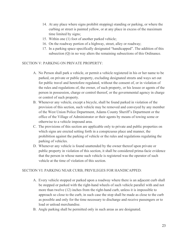- 14. At any place where signs prohibit stopping) standing or parking, or where the curbing or street is painted yellow, or at any place in excess of the maximum time limited by signs;
- 15. Within one (1) foot of another parked vehicle;
- 16. On the roadway portion of a highway, street, alley or roadway;
- 17. In a parking space specifically designated "handicapped". The addition of this subsection (Q) in no way alters the remaining subsections of this Ordinance.

#### SECTION V: PARKING ON PRIVATE PROPERTY:

- A. No Person shall park a vehicle, or permit a vehicle registered in his or her name to be parked, on private or public property, excluding designated streets and ways set out for public travel and heretofore regulated, without the consent of, or in violation of the rules and regulations of, the owner, of such property, or his lessee or agents of the person in possession, charge or control thereof, or the governmental agency in charge or control of such property.
- B. Whenever any vehicle, except a bicycle, shall be found parked in violation of the provision of this section, such vehicle may be removed and conveyed by any member of the West Union Police Department, Adams County Sheriff's Department or the office of the Village of Administrator or their agents by means of towing some or otherwise to a vehicle impound area.
- C. The provisions of this section are applicable only to private and public properties on which signs are erected setting forth in a conspicuous place and manner, the prohibition against the parking of vehicle or the rules and regulations regulating the parking of vehicles.
- D. Whenever any vehicle is found unattended by the owner thereof upon private or public property in violation of this section, it shall be considered prima-facie evidence that the person in whose name such vehicle is registered was the operator of such vehicle at the time of violation of this section.

#### SECTION VI: PARKING NEAR CURB; PRIVILEGES FOR HANDICAPPED:

- A. Every vehicle stopped or parked upon a roadway where there is an adjacent curb shall be stopped or parked with the right-hand wheels of such vehicle parallel with and not more than twelve (12) inches from the right-hand curb, unless it is impossible to approach so close to the curb, in such case the stop shall be made as close to the curb as possible and only for the time necessary to discharge and receive passengers or to load or unload merchandise.
- B. Angle parking shall be permitted only in such areas as are designated.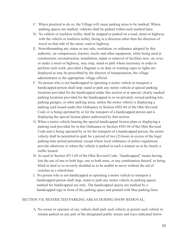- C. Where practical to do so, the Village will cause parking areas to be marked. Where parking spaces are marked, vehicles shall be parked within such marked lines.
- D. No vehicle or trackless trolley shall be stopped or parked on a road, street or highway with the vehicle or trackless trolley facing in a direction other than the direction of travel on that side of the street, road or highway.
- E. Notwithstanding any statue or any rule, resolution, or ordinance adopted by this authority, air compressors, tractors, trucks and other equipment, while being used in construction, reconstruction, installation, repair or removal of facilities new, on, over, or under a street or highway, may stop, stand or park where necessary in order to perform such work, provided a flagman is on duty or warning signs or lights are displayed as may be prescribed by the director of transportation, the village administrator or the appropriate village official.
- F. No person who is not handicapped or operating a motor vehicle to transport a handicapped person shall stop; stand or park any motor vehicle at special parking locations provided for the handicapped under this section or at special, clearly marked parking locations provided for the handicapped in or on privately owned parking lots, parking garages, or other parking areas, unless the motor vehicle is displaying a parking card issued under this Ordinance or Section 4503.44 of the Ohio Revised Code or is being operated by or for the transport of a handicapped person and is displaying the special license plates authorized by that section.
- G. When a motor vehicle bearing the special handicapped license plate or displaying a parking card provided for in this Ordinance or Section 4503.44 of the Ohio Revised Code and is being operated by or for the transport of a handicapped person, the motor vehicle shall be permitted to park for a period of two (2) hours in excess of the legal parking time period permitted, except where local ordinance or police regulations provide otherwise or where the vehicle is parked in such a manner as to be clearly a traffic hazard.
- H. As used in Section 4511.69 of the Ohio Revised Code, "handicapped" means having lost the use of one or both legs, one or both arms, or any combination thereof, or being blind or deaf or so severely disabled as to be unable to move without the aid of crutches or a wheelchair.
- I. No person who is not handicapped or operating a motor vehicle to transport a handicapped person shall stop, stand or park any motor vehicle in parking spaces marked for handicapped use only. The handicapped spaces are marked by a handicapped sign in front of the parking space and painted with blue parking lines.

#### SECTION VII: RESTRICTED PARKING AREAS DURING SNOW REMOVAL:

 A. No owner or operator of any vehicle shall park such vehicle or permit such vehicle to remain parked on any part of the designated public streets and ways indicated below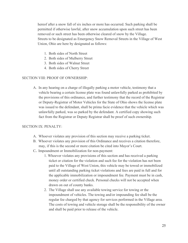hereof after a snow fall of six inches or more has occurred. Such parking shall be permitted if otherwise lawful, after snow accumulation upon such street has been removed or such street has been otherwise cleared of snow by the Village. Streets to be designated as Emergency Snow Removal Streets in the Village of West Union, Ohio are here by designated as follows:

- 1. Both sides of North Street
- 2. Both sides of Mulberry Street
- 3. Both sides of Walnut Street
- 4. Both sides of Cherry Street

#### SECTION VIII: PROOF OF OWNERSHIP:

 A. In any hearing on a charge of illegally parking a motor vehicle, testimony that a vehicle bearing a certain license plate was found unlawfully parked as prohibited by the provisions of this ordinance, and further testimony that the record of the Registrar or Deputy-Registrar of Motor Vehicles for the State of Ohio shows the license plate was issued to the defendant, shall be prima facie evidence that the vehicle which was unlawfully parked, was so parked by the defendant. A certified copy showing such fact from the Registrar or Deputy Registrar shall be proof of such ownership.

#### SECTION IX: PENALTY:

- A. Whoever violates any provision of this section may receive a parking ticket.
- B. Whoever violates any provision of this Ordinance and receives a citation therefore, may, if this is the second or more citation be cited into Mayor's Court.
- C. Impoundment or Immobilization for non-payment:
	- 1. Whoever violates any provisions of this section and has received a parking ticket or citation for the violation and such fee for the violation has not been paid to the Village of West Union, this vehicle may be towed or immobilized until all outstanding parking ticket violations and fees are paid in full and for the applicable immobilization or impoundment fee. Payment must be in cash, money order or certified check. Personal checks will not be accepted when drawn on out of county banks.
	- 2. The Village shall use any available towing service for towing or the impoundment of vehicles. The towing and/or impounding fee shall be the regular fee charged by that agency for services performed in the Village area. The costs of towing and vehicle storage shall be the responsibility of the owner and shall be paid prior to release of the vehicle.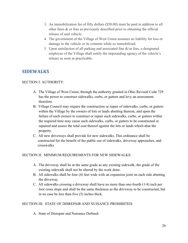- 3. An immobilization fee of fifty dollars (\$50.00) must be paid in addition to all other fines & or fees as previously described prior to obtaining the official release of said vehicle.
- 4. The government of the Village of West Union assumes no liability for loss or damage to the vehicle or its contents while so immobilized.
- 5. Upon satisfaction of all parking and associated fine &/or fees, a designated employee of the Village shall notify the impounding agency of the vehicle's release as soon as practicable.

#### SIDEWALKS

#### SECTION I: AUTHORITY:

- A. The Village of West Union, through the authority granted in Ohio Revised Code 729 has the power to construct sidewalks, curbs, or gutters and levy an assessment therefore.
- B. Village Council may require the construction or repair of sidewalks, curbs, or gutters within the Village by the owners of lots or lands abutting thereon, and upon the failure of such owners to construct or repair such sidewalks, curbs, or gutters within the required time may cause such sidewalks, curbs, or gutters to be constructed or repaired and assess the total cost thereof against the lots or lands which abut the property.
- C. All new driveways shall provide for new sidewalks. This ordinance shall be constructed for the benefit of the public use of sidewalks, driveway approaches, and crosswalks.

#### SECTION II: MINIMUM REQUIREMENTS FOR NEW SIDEWALKS:

- A. The driveway shall be at the same grade as any existing sidewalk; the grade of the existing sidewalk shall not be altered by the work done.
- B. All sidewalks shall be four (4) feet wide with an expansion joint on each side abutting the driveway.
- C. All sidewalks crossing a driveway shall have no more than one-fourth (1/4) inch per foot cross slope and shall be the same thickness as the driveway to be constructed, but in no case be less than five (5) inches thick.

#### SECTION III: STATE OF DISREPAIR AND NUISANCE PROHIBITED:

A. State of Disrepair and Nuisance Defined: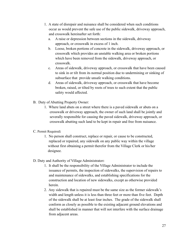- 1. A state of disrepair and nuisance shall be considered when such conditions occur as would prevent the safe use of the public sidewalk, driveway approach, and crosswalk hereinafter set forth:
	- a. A raise or depression between sections in the sidewalk, driveway approach, or crosswalk in excess of 1 inch.
	- b. Loose, broken portions of concrete in the sidewalk, driveway approach, or crosswalk which provides an unstable walking area or broken portions which have been removed from the sidewalk, driveway approach, or crosswalk.
	- c. Areas of sidewalk, driveway approach, or crosswalk that have been caused to sink in or tilt from its normal position due to undermining or sinking of subsurface that provide unsafe walking conditions.
	- d. Areas of sidewalk, driveway approach, or crosswalk that have become broken, raised, or tilted by roots of trees to such extent that the public safety would affected.
- B. Duty of Abutting Property Owner:
	- 1. Where land abuts on a street where there is a paved sidewalk or abuts on a crosswalk or driveway approach, the owner of such land shall be jointly and severally responsible for causing the paved sidewalk, driveway approach, or crosswalk abutting such land to be kept in repair and free from nuisance.
- C. Permit Required:
	- 1. No person shall construct, replace or repair, or cause to be constructed, replaced or repaired, any sidewalk on any public way within the village without first obtaining a permit therefor from the Village Clerk or his/her designee.
- D. Duty and Authority of Village Administrator:
	- 1. It shall be the responsibility of the Village Administrator to include the issuance of permits, the inspection of sidewalks, the supervision of repairs to and maintenance of sidewalks, and establishing specifications for the construction and location of new sidewalks, except as otherwise provided herein.
	- 2. Any sidewalk that is repaired must be the same size as the former sidewalk's width and length unless it is less than three feet or more than five feet. Depth of the sidewalk shall be at least four inches. The grade of the sidewalk shall conform as closely as possible to the existing adjacent ground elevations and shall be established in manner that will not interfere with the surface drainage from adjacent areas.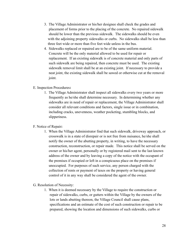- 3. The Village Administrator or his/her designee shall check the grades and placement of forms prior to the placing of the concrete. No repaired sidewalk should be lower than the previous sidewalk. The sidewalks should be even with the adjoining property sidewalks or curbs. No sidewalks shall be less than three feet wide or more than five feet wide unless in the bus.
- 4. Sidewalks replaced or repaired are to be of the same uniform material. Concrete will be the only material allowed to be used for repair or replacement. If an existing sidewalk is of concrete material and only parts of such sidewalk are being repaired, then concrete must be used. The existing sidewalk removal limit shall be at an existing joint. If necessary to provide a neat joint, the existing sidewalk shall be sawed or otherwise cut at the removal joint.

#### E. Inspection Procedures:

 1. The Village Administrator shall inspect all sidewalks every two years or more frequently as he/she shall determine necessary. In determining whether any sidewalks are in need of repair or replacement, the Village Administrator shall consider all relevant conditions and factors, single issue or in combination, including cracks, unevenness, weather pocketing, stumbling blocks, and slipperiness.

#### F. Notice of Repair:

- 1. When the Village Administrator find that such sidewalk, driveway approach, or crosswalk is in a state of disrepair or is not free from nuisance, he/she shall notify the owner of the abutting property, in writing, to have the necessary construction, reconstruction, or repair made. This notice shall be served on the owner or his/her agent, personally or by registered mail sent to the last known address of the owner and by leaving a copy of the notice with the occupant of the premises if occupied or left in a conspicuous place on the premises if unoccupied. For purposes of such service, any person charged with the collection of rents or payment of taxes on the property or having general control of it in any way shall be considered the agent of the owner.
- G. Resolution of Necessity:
	- 1. When it is deemed necessary by the Village to require the construction or repair of sidewalks, curbs, or gutters within the Village by the owners of the lots or lands abutting thereon, the Village Council shall cause plans, specifications and an estimate of the cost of such construction or repair to be prepared, showing the location and dimensions of such sidewalks, curbs or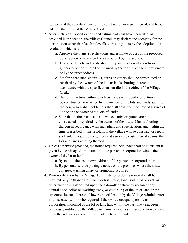gutters and the specifications for the construction or repair thereof, and to be filed in the office of the Village Clerk.

- 2. After such plans, specifications and estimate of cost have been filed, as provided in the section, the Village Council may declare the necessity for the construction or repair of such sidewalk, curbs or gutters by the adoption of a resolution which shall:
	- a. Approve the plans, specifications and estimate of cost of the proposed construction or repair on file as provided by this section.
	- b. Describe the lots and lands abutting upon the sidewalks, curbs or gutters to be constructed or repaired by the termini of the improvement or by the street address;
	- c. Set forth that such sidewalks, curbs or gutters shall be constructed or repaired by the owners of the lots or lands abutting thereon in accordance with the specifications on file in the office of the Village Clerk.
	- d. Set forth the time within which such sidewalks, curbs or gutters shall be constructed or repaired by the owners of the lots and lands abutting thereon, which shall not be less than 30 days from the date of service of notice on the owner of the lots of lands;
	- e. State that in the event such sidewalks, curbs or gutters are not constructed or repaired by the owners of the lots and lands abutting thereon in accordance with such plans and specifications and within the time prescribed in this resolution, the Village will so construct or repair such sidewalks, curbs or gutters and assess the costs thereof against the lots and lands abutting thereon.
- 3. Unless otherwise provided, the notice required hereunder shall be sufficient if given by the Village Administrator to the person or corporation who is the owner of the lot or land.
	- a. By mail to the last known address of the person or corporation or
	- b. By personal service placing a notice on the premises where the slide, collapse, washing away, or crumbling occurred.
- 4. Prior notification by the Village Administrator ordering removal shall be required only in those cases where debris, stone, sand, soil, mud, gravel, or other materials is deposited upon the sidewalk or street by reason of any natural slide, collapse, washing away, or crumbling of the lot or land or the structures located thereon. However, notification by the Village Administrator in those cases will not be required if the owner, occupant person, or corporation in control of the lot or land has, within the past one year, been previously notified by the Village Administrator of a similar condition existing upon the sidewalk or street in from of such lot or land.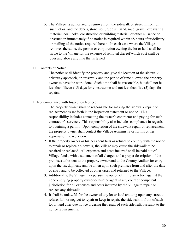- 5. The Village is authorized to remove from the sidewalk or street in front of such lot or land the debris, stone, soil, rubbish, sand, mud, gravel, excavating material, coal, coke, construction or building material, or other nuisance or obstruction immediately if no notice is required within 48 hours after delivery or mailing of the notice required herein. In each case where the Village removes the same, the person or corporation owning the lot or land shall be liable to the Village for the expense of removal thereof which cost shall be over and above any fine that is levied.
- H. Contents of Notice:
	- 1. The notice shall identify the property and give the location of the sidewalk, driveway approach, or crosswalk and the period of time allowed the property owner to have the work done. Such time shall be reasonable, but shall not be less than fifteen (15) days for construction and not less than five (5) days for repairs.
- I. Noncompliance with Inspection Notice:
	- 1. The property owner shall be responsible for making the sidewalk repair or replacement as set forth in the inspection statement or notice. This responsibility includes contacting the owner's contractor and paying for such contractor's services. This responsibility also includes compliance in regards to obtaining a permit. Upon completion of the sidewalk repair or replacement, the property owner shall contact the Village Administrator for his or her approval of the work done.
	- 2. If the property owner or his/her agent fails or refuses to comply with the notice to repair or replace a sidewalk, the Village may cause the sidewalk to be repaired or replaced. All expenses and costs incurred shall be paid out of Village funds, with a statement of all charges and a proper description of the premises to be sent to the property owner and to the County Auditor for entry upon the tax duplicate and be a lien upon such premises from and after the date of entry and to be collected as other taxes and returned to the Village.
	- 3. Additionally, the Village may pursue the option of filing an action against the noncomplying property owner or his/her agent in any court of competent jurisdiction for all expenses and costs incurred by the Village to repair or replace any sidewalk.
	- 4. It shall be unlawful for the owner of any lot or land abutting upon any street to refuse, fail, or neglect to repair or keep in repair, the sidewalk in front of such lot or land after due notice ordering the repair of such sidewalk pursuant to the notice requirements.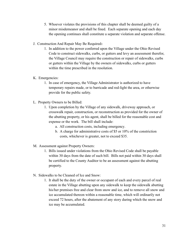- 5. Whoever violates the provisions of this chapter shall be deemed guilty of a minor misdemeanor and shall be fined. Each separate opening and each day the opening continues shall constitute a separate violation and separate offense.
- J. Construction And Repair May Be Required:
	- 1. In addition to the power conferred upon the Village under the Ohio Revised Code to construct sidewalks, curbs, or gutters and levy an assessment therefor, the Village Council may require the construction or repair of sidewalks, curbs or gutters within the Village by the owners of sidewalks, curbs or gutters within the time prescribed in the resolution.
- K. Emergencies:
	- 1. In case of emergency, the Village Administrator is authorized to have temporary repairs made, or to barricade and red-light the area, or otherwise provide for the public safety.
- L. Property Owners to be Billed:
	- 1. Upon completion by the Village of any sidewalk, driveway approach, or crosswalk repair, construction, or reconstruction as provided for the owner of the abutting property, or his agent, shall be billed for the reasonable cost and expense or the work. The bill shall include:
		- a. All construction costs, including emergency.
		- b. A charge for administrative costs of \$5 or 10% of the constriction costs, whichever is greater, not to exceed \$35.
- M. Assessment against Property Owners:
	- 1. Bills issued under violations from the Ohio Revised Code shall be payable within 30 days from the date of such bill. Bills not paid within 30 days shall be certified to the County Auditor to be an assessment against the abutting property.
- N. Sidewalks to be Cleaned of Ice and Snow:
	- 1. It shall be the duty of the owner or occupant of each and every parcel of real estate in the Village abutting upon any sidewalk to keep the sidewalk abutting his/her premises free and clear from snow and ice, and to remove all snow and ice accumulated thereon within a reasonable time, which will ordinarily not exceed 72 hours, after the abatement of any story during which the snow and ice may be accumulated.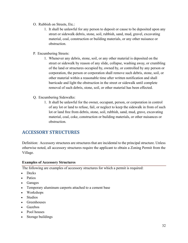- O. Rubbish on Streets, Etc.:
	- 1. It shall be unlawful for any person to deposit or cause to be deposited upon any street or sidewalk debris, stone, soil, rubbish, sand, mud, gravel, excavating material, coal, construction or building materials, or any other nuisance or obstruction.
- P. Encumbering Streets:
	- 1. Whenever any debris, stone, soil, or any other material is deposited on the street or sidewalk by reason of any slide, collapse, washing away, or crumbling of the land or structures occupied by, owned by, or controlled by any person or corporation, the person or corporation shall remove such debris, stone, soil, or other material within a reasonable time after written notification and shall barricade and light the obstruction in the street or sidewalk until complete removal of such debris, stone, soil, or other material has been effected.
- Q. Encumbering Sidewalks:
	- 1. It shall be unlawful for the owner, occupant, person, or corporation in control of any lot or land to refuse, fail, or neglect to keep the sidewalk in from of such lot or land free from debris, stone, soil, rubbish, sand, mud, grave, excavating material, coal, coke, construction or building materials, or other nuisances or obstruction.

#### ACCESSORY STRUCTURES

Definition: Accessory structures are structures that are incidental to the principal structure. Unless otherwise noted, all accessory structures require the applicant to obtain a Zoning Permit from the Village.

#### Examples of Accessory Structures

The following are examples of accessory structures for which a permit is required:

- **Decks**
- Patios
- Garages
- Temporary aluminum carports attached to a cement base
- Workshops
- Studios
- Greenhouses
- Gazebos
- Pool houses
- Storage buildings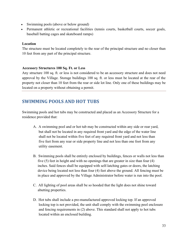- Swimming pools (above or below ground)
- Permanent athletic or recreational facilities (tennis courts, basketball courts, soccer goals, baseball batting cages and skateboard ramps)

#### Location

The structure must be located completely to the rear of the principal structure and no closer than 10 feet from any part of the principal structure.

#### Accessory Structures 100 Sq. Ft. or Less

Any structure 100 sq. ft. or less is not considered to be an accessory structure and does not need approval by the Village. Storage buildings 100 sq. ft. or less must be located at the rear of the property not closer than 10 feet from the rear or side lot line. Only one of these buildings may be located on a property without obtaining a permit.

#### SWIMMING POOLS AND HOT TUBS

Swimming pools and hot tubs may be constructed and placed as an Accessory Structure for a residence provided that:

- A. A swimming pool and or hot tub may be constructed within any side or rear yard, but shall not be located in any required front yard and the edge of the water line shall not be located within five feet of any required front yard and not less than five feet from any rear or side property line and not less than one foot from any utility easement.
- B. Swimming pools shall be entirely enclosed by buildings, fences or walls not less than five (5) feet in height and with no openings that are greater in size than four (4) inches. Said fences shall be equipped with self-latching gates or doors, the latching device being located not less than four (4) feet above the ground. All fencing must be in place and approved by the Village Administrator before water is run into the pool.
- C. All lighting of pool areas shall be so hooded that the light does not shine toward abutting properties.
- D. Hot tubs shall include a pre-manufactured approved locking top. If an approved locking top is not provided, the unit shall comply with the swimming pool enclosure and fencing requirements in (2) above. This standard shall not apply to hot tubs located within an enclosed building.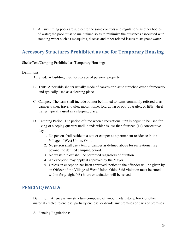E. All swimming pools are subject to the same controls and regulations as other bodies of water; the pool must be maintained so as to minimize the nuisances associated with standing water such as mosquitos, disease and other related issues to stagnant water.

#### Accessory Structures Prohibited as use for Temporary Housing

Sheds/Tent/Camping Prohibited as Temporary Housing:

#### Definitions:

- A. Shed: A building used for storage of personal property.
- B. Tent: A portable shelter usually made of canvas or plastic stretched over a framework and typically used as a sleeping place.
- C. Camper: The term shall include but not be limited to items commonly referred to as camper trailer, travel trailer, motor home, fold-down or pop-up trailer, or fifth-wheel trailer typically used as a sleeping place.
- D. Camping Period: The period of time when a recreational unit is begun to be used for living or sleeping quarters until it ends which is less than fourteen (14) consecutive days.
	- 1. No person shall reside in a tent or camper as a permanent residence in the Village of West Union, Ohio.
	- 2. No person shall use a tent or camper as defined above for recreational use beyond the defined camping period.
	- 3. No waste run off shall be permitted regardless of duration.
	- 4. An exception may apply if approved by the Mayor.
	- 5. Unless an exception has been approved, notice to the offender will be given by an Officer of the Village of West Union, Ohio. Said violation must be cured within forty-eight (48) hours or a citation will be issued.

#### FENCING/WALLS:

Definition: A fence is any structure composed of wood, metal, stone, brick or other material erected to enclose, partially enclose, or divide any premises or parts of premises.

A. Fencing Regulations: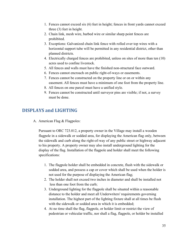- 1. Fences cannot exceed six (6) feet in height; fences in front yards cannot exceed three (3) feet in height.
- 2. Chain link, mesh wire, barbed wire or similar sharp point fences are prohibited.
- 3. Exceptions: Galvanized chain link fence with rolled over top wires with a horizontal support tube will be permitted in any residential district, other than planned districts.
- 4. Electrically charged fences are prohibited, unless on sites of more than ten (10) acres used to confine livestock.
- 5. All fences and walls must have the finished non-structural face outward.
- 6. Fences cannot encroach on public right-of-ways or easements.
- 7. Fences cannot be constructed on the property line or on or within any easement. All fences must have a minimum of one foot from the property line.
- 8. All fences on one parcel must have a unified style.
- 9. Fences cannot be constructed until surveyor pins are visible; if not, a survey must be done.

#### DISPLAYS and LIGHTING

A. American Flag & Flagpoles:

 Pursuant to ORC 723.012, a property owner in the Village may install a wooden flagpole in a sidewalk or sodded area, for displaying the American flag only, between the sidewalk and curb along the right-of-way of any public street or highway adjacent to his property. A property owner may also install underground lighting for the display of the flag. Installation of the flagpole and holder shall meet the following specifications:

- 1. The flagpole holder shall be embedded in concrete, flush with the sidewalk or sodded area, and possess a cap or cover which shall be used when the holder is not used for the purpose of displaying the American flag;
- 2. The holder shall not exceed two inches in diameter and shall be installed not less than one foot from the curb;
- 3. Underground lighting for the flagpole shall be situated within a reasonable distance to the holder and meet all Underwriters' requirements governing installation. The highest part of the lighting fixture shall at all times be flush with the sidewalk or sodded area in which it is embedded;
- 4. At no time shall the flag, flagpole, or holder limit or restrict the view of pedestrian or vehicular traffic, nor shall a flag, flagpole, or holder be installed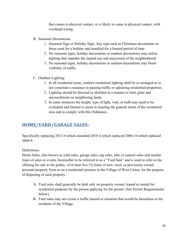that comes in physical contact, or is likely to come in physical contact, with overhead wiring.

- B. Seasonal Decorations:
	- 1. Seasonal Sign or Holiday Sign: Any sign such as Christmas decorations or those used for a holiday and installed for a limited period of time.
	- 2. No seasonal signs, holiday decorations or outdoor decorations may utilize lighting that impedes the natural use and enjoyment of the neighborhood.
	- 3. No seasonal signs, holiday decorations or outdoor decorations may block visibility of traffic.
- C. Outdoor Lighting:
	- 1. In all residential areas, outdoor residential lighting shall be so arranged as to not constitute a nuisance to passing traffic or adjoining residential properties.
	- 2. Lighting should be directed or shielded in a manner to limit glare and encroachment on neighboring lands.
	- 3. In some instances the height, type of light, watt, or bulb may need to be evaluated and limited to assist in meeting the general intent of the residential area and to comply with this Ordinance.

### HOME/YARD/GARAGE SALES:

Specifically replacing 2013-6 which amended 2010-4 which replaced 2006-16 which replaced 2006-8.

Definitions:

Home Sales, also known as yard sales, garage sales, tag sales, attic or carport sales and similar types of sales or events, hereinafter to be referred to as a "Yard Sale" and is used to refer to the offering for sale to the public, of at least five (5) items of new, used, or previously owned personal property from or on a residential premise in the Village of West Union, for the purpose of disposing of such property.

- A. Yard sales shall generally be held only on property owned, leased or rented for residential purposes by the person applying for the permit. (See Permit Requirements below).
- B. Yard sales may not create a traffic hazard or situation that would be hazardous to the residents of the Village.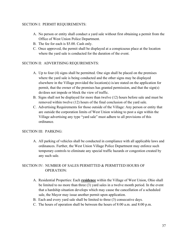#### SECTION I: PERMIT REQUIREMENTS:

- A. No person or entity shall conduct a yard sale without first obtaining a permit from the Office of West Union Police Department.
- B. The fee for each is \$5.00. Cash only.
- C. Once approved, the permit shall be displayed at a conspicuous place at the location where the yard sale is conducted for the duration of the event.

#### SECTION II: ADVERTISING REQUIREMENTS:

- A. Up to four (4) signs shall be permitted. One sign shall be placed on the premises where the yard sale is being conducted and the other signs may be displayed elsewhere in the Village provided the location(s) is/are stated on the application for permit, that the owner of the premises has granted permission, and that the sign(s) do/does not impede or block the view of traffic.
- B. Signs shall not be displayed for more than twelve (12) hours before sale and must be removed within twelve (12) hours of the final conclusion of the yard sale.
- C. Advertising Requirements for those outside of the Village: Any person or entity that are outside the corporation limits of West Union wishing to post a sign within the Village advertising any type "yard sale" must adhere to all provisions of this ordinance.

#### SECTION III: PARKING:

 A. All parking of vehicles shall be conducted in compliance with all applicable laws and ordinances. Further, the West Union Village Police Department may enforce such temporary controls to eliminate any special traffic hazards or congestion created by any such sale.

#### SECTION IV: NUMBER OF SALES PERMITTED & PERMITTED HOURS OF OPERATION:

- A. Residential Properties: Each residence within the Village of West Union, Ohio shall be limited to no more than three (3) yard sales in a twelve month period. In the event that a hardship situation develops which may cause the cancellation of a scheduled sale, the Mayor may issue another permit upon application.
- B. Each and every yard sale shall be limited to three (3) consecutive days.
- C. The hours of operation shall be between the hours of 8:00 a.m. and 8:00 p.m.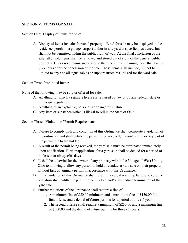#### SECTION V: ITEMS FOR SALE:

Section One: Display of Items for Sale:

 A. Display of items for sale: Personal property offered for sale may be displayed in the residence, porch, in a garage, carport and/or in any yard at specified residence, but shall not be permitted within the public right of way. At the final conclusion of the sale, all unsold items shall be removed and stored out of sight of the general public promptly. Under no circumstances should there be items remaining more than twelve (12) hours after the conclusion of the sale. These items shall include, but not be limited to any and all signs, tables or support structures utilized for the yard sale.

Section Two: Prohibited Items:

None of the following may be sold or offered for sale:

- A. Anything for which a separate license is required by law or by any federal, state or municipal regulation;
- B. Anything of an explosive, poisonous or dangerous nature.
- C. Any item or substance which is illegal to sell in the State of Ohio.

Section Three: Violation of Permit Requirements:

- A. Failure to comply with any condition of this Ordinance shall constitute a violation of the ordinance and shall entitle the permit to be revoked, without refund or any part of the permit fee to the holder.
- B. A result of the permit being revoked, the yard sale must be terminated immediately upon notification. Further applications for a yard sale shall be denied for a period of no less than ninety (90) days.
- C. It shall be unlawful for the owner of any property within the Village of West Union, Ohio to knowingly allow any person to hold or conduct a yard sale on their property without first obtaining a permit in accordance with this Ordinance.
- D. Initial violation of this Ordinance shall result in a verbal warning. Failure to cure the violation shall entitle the permit to be revoked and/or immediate termination of the yard sale.
- E. Further violations of the Ordinance shall require a fine of:
	- 1. A minimum fine of \$50.00 minimum and a maximum fine of \$150.00 for a first offense and a denial of future permits for a period of one (1) year.
	- 2. The second offense shall require a minimum of \$250.00 and a maximum fine of \$500.00 and the denial of future permits for three (3) years.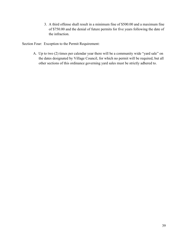3. A third offense shall result in a minimum fine of \$500.00 and a maximum fine of \$750.00 and the denial of future permits for five years following the date of the infraction.

Section Four: Exception to the Permit Requirement:

 A. Up to two (2) times per calendar year there will be a community wide "yard sale" on the dates designated by Village Council, for which no permit will be required, but all other sections of this ordinance governing yard sales must be strictly adhered to.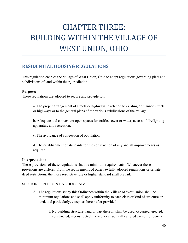## CHAPTER THREE: BUILDING WITHIN THE VILLAGE OF WEST UNION, OHIO

#### RESIDENTIAL HOUSING REGULATIONS

This regulation enables the Village of West Union, Ohio to adopt regulations governing plats and subdivisions of land within their jurisdiction.

#### Purpose:

These regulations are adopted to secure and provide for:

a. The proper arrangement of streets or highways in relation to existing or planned streets or highways or to the general plans of the various subdivisions of the Village.

b. Adequate and convenient open spaces for traffic, sewer or water, access of firefighting apparatus, and recreation.

c. The avoidance of congestion of population.

d. The establishment of standards for the construction of any and all improvements as required.

#### Interpretation:

These provisions of these regulations shall be minimum requirements. Whenever these provisions are different from the requirements of other lawfully adopted regulations or private deed restrictions, the more restrictive rule or higher standard shall prevail.

#### SECTION I: RESIDENTIAL HOUSING:

- A. The regulations set by this Ordinance within the Village of West Union shall be minimum regulations and shall apply uniformity to each class or kind of structure or land, and particularly, except as hereinafter provided:
	- 1. No building structure, land or part thereof, shall be used, occupied, erected, constructed, reconstructed, moved, or structurally altered except for general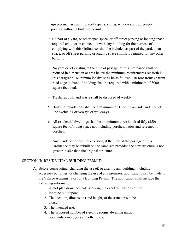upkeep such as painting, roof repairs, siding, windows and screened-in porches without a building permit.

- 2. No part of a yard, or other open space, or off-street parking or loading space required about or in connection with any building for the purpose of complying with this Ordinance, shall be included as part of the yard, open space, or off street parking or loading space similarly required for any other building.
- 3. No yard or lot existing at the time of passage of this Ordinance shall be reduced in dimension or area below the minimum requirements set forth in this paragraph. Minimum lot size shall be as follows: 10 foot frontage from road edge to front of building shall be required with a minimum of 3000 square feet total.
- 4. Trash, rubbish, and waste shall be disposed of weekly.
- 5. Building foundations shall be a minimum of 10 feet from side and rear lot line excluding driveways or walkways.
- 6. All residential dwellings shall be a minimum three hundred fifty (350) square feet of living space not including porches, patios and screened in porches.
- 7. Any residence or business existing at the time of the passage of this Ordinance may be rebuilt on the same site provided the new structure is not greater in size than the original structure.

#### SECTION II: RESIDENTIAL BUILDING PERMIT:

- A. Before constructing, changing the use of, or altering any building, including accessory buildings, or changing the use of any premises, application shall be made to the Village Administrator for a Building Permit. The application shall include the following information:
	- 1. A plot plan drawn to scale showing the exact dimensions of the lot to be built upon;
	- 2. The location, dimensions and height, of the structures to be erected;
	- 3. The intended use;
	- 4. The proposed number of sleeping rooms, dwelling units, occupants, employees and other uses;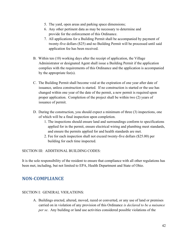- 5. The yard, open areas and parking space dimensions;
- 6. Any other pertinent data as may be necessary to determine and provide for the enforcement of this Ordinance.
- 7. All applications for a Building Permit shall be accompanied by payment of twenty-five dollars (\$25) and no Building Permit will be processed until said application fee has been received.
- B. Within ten (10) working days after the receipt of application, the Village Administrator or designated Agent shall issue a Building Permit if the application complies with the requirements of this Ordinance and the application is accompanied by the appropriate fee(s).
- C. The Building Permit shall become void at the expiration of one year after date of issuance, unless construction is started. If no construction is started or the use has changed within one year of the date of the permit, a new permit is required upon proper application. Completion of the project shall be within two (2) years of issuance of permit.
- D. During the construction, you should expect a minimum of three (3) inspections, one of which will be a final inspection upon completion.
	- 1. The inspections should ensure land and surroundings conform to specifications applied for in the permit, ensure electrical wiring and plumbing meet standards, and ensure the permits applied for and health standards are met.
	- 2. Fee for each inspection shall not exceed twenty-five dollars (\$25.00) per building for each time inspected.

SECTION III: ADDITIONAL BUILDING CODES:

It is the sole responsibility of the resident to ensure that compliance with all other regulations has been met, including, but not limited to EPA, Health Department and State of Ohio.

#### NON-COMPLIANCE

#### SECTION I: GENERAL VIOLATIONS:

A. Buildings erected, altered, moved, razed or converted, or any use of land or premises carried on in violation of any provision of this Ordinance is declared to be a nuisance per se. Any building or land use activities considered possible violations of the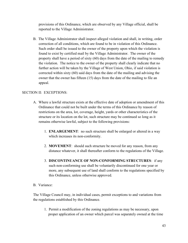provisions of this Ordinance, which are observed by any Village official, shall be reported to the Village Administrator.

 B. The Village Administrator shall inspect alleged violation and shall, in writing, order correction of all conditions, which are found to be in violation of this Ordinance. Such order shall be issued to the owner of the property upon which the violation is found to exist by certified mail by the Village Administrator. The owner of the property shall have a period of sixty (60) days from the date of the mailing to remedy the violation. The notice to the owner of the property shall clearly indicate that no further action will be taken by the Village of West Union, Ohio, if said violation is corrected within sixty (60) said days from the date of the mailing and advising the owner that the owner has fifteen (15) days from the date of the mailing to file an appeal.

#### SECTION II: EXCEPTIONS:

- A. Where a lawful structure exists at the effective date of adoption or amendment of this Ordinance that could not be built under the terms of this Ordinance by reason of restrictions on the area, lot, coverage, height, yards or other characteristics of the structure or its location on the lot, such structure may be continued so long as it remains otherwise lawful, subject to the following provisions:
	- 1. ENLARGEMENT: no such structure shall be enlarged or altered in a way which increases its non-conformity.
	- 2. MOVEMENT: should such structure be moved for any reason, from any distance whatever, it shall thereafter conform to the regulations of the Village.
	- 3. DISCONTINUANCE OF NON-CONFORMING STRUCTURES: if any such non-conforming use shall be voluntarily discontinued for one year or more, any subsequent use of land shall conform to the regulations specified by this Ordinance, unless otherwise approved.

#### B. Variance:

The Village Council may, in individual cases, permit exceptions to and variations from the regulations established by this Ordinance.

1. Permit a modification of the zoning regulations as may be necessary, upon proper application of an owner which parcel was separately owned at the time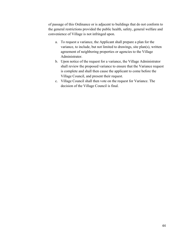of passage of this Ordinance or is adjacent to buildings that do not conform to the general restrictions provided the public health, safety, general welfare and convenience of Village is not infringed upon.

- a. To request a variance, the Applicant shall prepare a plan for the variance, to include, but not limited to drawings, site plan(s), written agreement of neighboring properties or agencies to the Village Administrator.
- b. Upon notice of the request for a variance, the Village Administrator shall review the proposed variance to ensure that the Variance request is complete and shall then cause the applicant to come before the Village Council, and present their request.
- c. Village Council shall then vote on the request for Variance. The decision of the Village Council is final.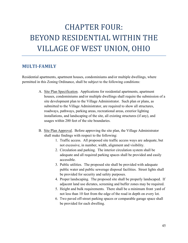## CHAPTER FOUR: BEYOND RESIDENTIAL WITHIN THE VILLAGE OF WEST UNION, OHIO

#### MULTI-FAMILY

Residential apartments, apartment houses, condominiums and/or multiple dwellings, where permitted in this Zoning Ordinance, shall be subject to the following conditions:

- A. Site Plan Specification. Applications for residential apartments, apartment houses, condominiums and/or multiple dwellings shall require the submission of a site development plan to the Village Administrator. Such plan or plans, as submitted to the Village Administrator, are required to show all structures, roadways, pathways, parking areas, recreational areas, exterior lighting installations, and landscaping of the site, all existing structures (if any), and usages within 200 feet of the site boundaries.
- B. Site Plan Approval. Before approving the site plan, the Village Administrator shall make findings with respect to the following:
	- 1. Traffic access. All proposed site traffic access ways are adequate, but not excessive, in number, width, alignment and visibility.
	- 2. Circulation and parking. The interior circulation system shall be adequate and all required parking spaces shall be provided and easily accessible.
	- 3. Public utilities. The proposed site shall be provided with adequate public water and public sewerage disposal facilities. Street lights shall be provided for security and safety purposes.
	- 4. Proper landscaping. The proposed site shall be properly landscaped. If adjacent land use dictates, screening and buffer zones may be required.
	- 5. Height and bulk requirements. There shall be a minimum front yard of not less than 10 feet from the edge of the road in depth on every lot.
	- 6. Two paved off-street parking spaces or comparable garage space shall be provided for each dwelling.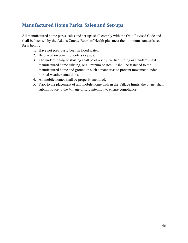### Manufactured Home Parks, Sales and Set-ups

All manufactured home parks, sales and set-ups shall comply with the Ohio Revised Code and shall be licensed by the Adams County Board of Health plus meet the minimum standards set forth below:

- 1. Have not previously been in flood water.
- 2. Be placed on concrete footers or pads.
- 3. The underpinning or skirting shall be of a vinyl vertical siding or standard vinyl manufactured home skirting, or aluminum or steel. It shall be fastened to the manufactured home and ground in such a manner as to prevent movement under normal weather conditions.
- 4. All mobile homes shall be properly anchored.
- 5. Prior to the placement of any mobile home with in the Village limits, the owner shall submit notice to the Village of said intention to ensure compliance.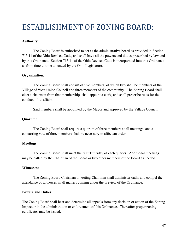### ESTABLISHMENT OF ZONING BOARD:

#### Authority:

The Zoning Board is authorized to act as the administrative board as provided in Section 713.11 of the Ohio Revised Code, and shall have all the powers and duties prescribed by law and by this Ordinance. Section 713.11 of the Ohio Revised Code is incorporated into this Ordinance as from time to time amended by the Ohio Legislature.

#### Organization:

The Zoning Board shall consist of five members, of which two shall be members of the Village of West Union Council and three members of the community. The Zoning Board shall elect a chairman from that membership, shall appoint a clerk, and shall prescribe rules for the conduct of its affairs.

Said members shall be appointed by the Mayor and approved by the Village Council.

#### Quorum:

The Zoning Board shall require a quorum of three members at all meetings, and a concurring vote of three members shall be necessary to affect an order.

#### Meetings:

The Zoning Board shall meet the first Thursday of each quarter. Additional meetings may be called by the Chairman of the Board or two other members of the Board as needed.

#### Witnesses:

The Zoning Board Chairman or Acting Chairman shall administer oaths and compel the attendance of witnesses in all matters coming under the preview of the Ordinance.

#### Powers and Duties:

The Zoning Board shall hear and determine all appeals from any decision or action of the Zoning Inspector in the administration or enforcement of this Ordinance. Thereafter proper zoning certificates may be issued.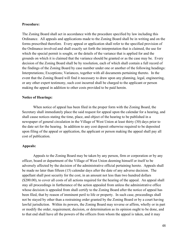#### Procedure:

The Zoning Board shall act in accordance with the procedure specified by law including this Ordinance. All appeals and applications made to the Zoning Board shall be in writing and on the forms prescribed therefore. Every appeal or application shall refer to the specified provision of the Ordinance involved and shall exactly set forth the interpretation that is claimed, the use for which the special permit is sought, or the details of the variance that is applied for and the grounds on which it is claimed that the variance should be granted or as the case may be. Every decision of the Zoning Board shall be by resolution, each of which shall contain a full record of the findings of the Zoning Board by case number under one or another of the following headings: Interpretations; Exceptions; Variances, together with all documents pertaining thereto. In the event that the Zoning Board will find it necessary to draw upon any planning, legal, engineering, or any other expert testimony, such cost incurred shall be charged to the applicant or person making the appeal in addition to other costs provided to be paid herein.

#### Notice of Hearings:

When notice of appeal has been filed in the proper form with the Zoning Board, the Secretary shall immediately place the said request for appeal upon the calendar for a hearing, and shall cause notices stating the time, place, and object of the hearing to be published in a newspaper of general circulation in the Village of West Union at least thirty (30) days prior to the date set for the hearing. In addition to any cost deposit otherwise required to be deposited upon filing of the appeal or application, the applicant or person making the appeal shall pay all cost of publication.

#### Appeals:

Appeals to the Zoning Board may be taken by any person, firm or corporation or by any officer, board or department of the Village of West Union deeming himself or itself to be adversely affected by the decision of the administrative official pertaining hereto. Appeals shall be made no later than fifteen (15) calendar days after the date of any adverse decision. The appellant shall post security for the cost, in an amount not less than two hundred dollars (\$200.00), to cover all costs of all actions required for the hearing of the appeal. An appeal shall stay all proceedings in furtherance of the action appealed from unless the administrative office whose decision is appealed from shall certify to the Zoning Board after the notice of appeal has been filed, that by reason of imminent peril to life or property. In such case, proceedings shall not be stayed by other than a restraining order granted by the Zoning Board or by a court having lawful jurisdiction. Within its powers, the Zoning Board may reverse or affirm, wholly or in part or modify the order, requirement, decision, or determination as its opinion ought to be done, and to that end shall have all the powers of the officers from whom the appeal is taken, and it may